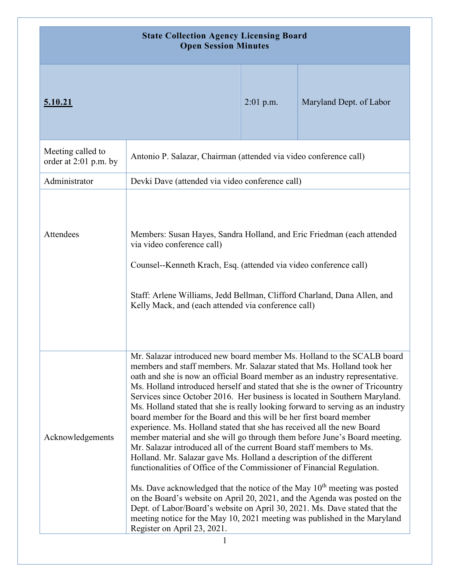| <b>State Collection Agency Licensing Board</b><br><b>Open Session Minutes</b> |                                                                                                                                                                                                                                                                                                                                                                                                                                                                                                                                                                                                                                                                                                                                                                                                                                                                                                                                                                                                                                                                                                                                                                                                                                                                                                           |             |                         |
|-------------------------------------------------------------------------------|-----------------------------------------------------------------------------------------------------------------------------------------------------------------------------------------------------------------------------------------------------------------------------------------------------------------------------------------------------------------------------------------------------------------------------------------------------------------------------------------------------------------------------------------------------------------------------------------------------------------------------------------------------------------------------------------------------------------------------------------------------------------------------------------------------------------------------------------------------------------------------------------------------------------------------------------------------------------------------------------------------------------------------------------------------------------------------------------------------------------------------------------------------------------------------------------------------------------------------------------------------------------------------------------------------------|-------------|-------------------------|
| <u>5.10.21</u>                                                                |                                                                                                                                                                                                                                                                                                                                                                                                                                                                                                                                                                                                                                                                                                                                                                                                                                                                                                                                                                                                                                                                                                                                                                                                                                                                                                           | $2:01$ p.m. | Maryland Dept. of Labor |
| Meeting called to<br>order at 2:01 p.m. by                                    | Antonio P. Salazar, Chairman (attended via video conference call)                                                                                                                                                                                                                                                                                                                                                                                                                                                                                                                                                                                                                                                                                                                                                                                                                                                                                                                                                                                                                                                                                                                                                                                                                                         |             |                         |
| Administrator                                                                 | Devki Dave (attended via video conference call)                                                                                                                                                                                                                                                                                                                                                                                                                                                                                                                                                                                                                                                                                                                                                                                                                                                                                                                                                                                                                                                                                                                                                                                                                                                           |             |                         |
| Attendees                                                                     | Members: Susan Hayes, Sandra Holland, and Eric Friedman (each attended<br>via video conference call)<br>Counsel--Kenneth Krach, Esq. (attended via video conference call)<br>Staff: Arlene Williams, Jedd Bellman, Clifford Charland, Dana Allen, and<br>Kelly Mack, and (each attended via conference call)                                                                                                                                                                                                                                                                                                                                                                                                                                                                                                                                                                                                                                                                                                                                                                                                                                                                                                                                                                                              |             |                         |
| Acknowledgements                                                              | Mr. Salazar introduced new board member Ms. Holland to the SCALB board<br>members and staff members. Mr. Salazar stated that Ms. Holland took her<br>oath and she is now an official Board member as an industry representative.<br>Ms. Holland introduced herself and stated that she is the owner of Tricountry<br>Services since October 2016. Her business is located in Southern Maryland.<br>Ms. Holland stated that she is really looking forward to serving as an industry<br>board member for the Board and this will be her first board member<br>experience. Ms. Holland stated that she has received all the new Board<br>member material and she will go through them before June's Board meeting.<br>Mr. Salazar introduced all of the current Board staff members to Ms.<br>Holland. Mr. Salazar gave Ms. Holland a description of the different<br>functionalities of Office of the Commissioner of Financial Regulation.<br>Ms. Dave acknowledged that the notice of the May 10 <sup>th</sup> meeting was posted<br>on the Board's website on April 20, 2021, and the Agenda was posted on the<br>Dept. of Labor/Board's website on April 30, 2021. Ms. Dave stated that the<br>meeting notice for the May 10, 2021 meeting was published in the Maryland<br>Register on April 23, 2021. |             |                         |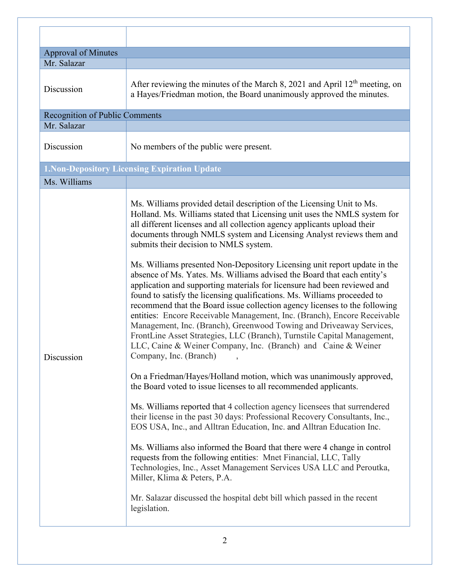| <b>Approval of Minutes</b><br>Mr. Salazar |                                                                                                                                                                                                                                                                                                                                                                                                                                                                                                                                                                                                                                                                                                                                                                                                                                                                                                                                                                                                                                                                         |
|-------------------------------------------|-------------------------------------------------------------------------------------------------------------------------------------------------------------------------------------------------------------------------------------------------------------------------------------------------------------------------------------------------------------------------------------------------------------------------------------------------------------------------------------------------------------------------------------------------------------------------------------------------------------------------------------------------------------------------------------------------------------------------------------------------------------------------------------------------------------------------------------------------------------------------------------------------------------------------------------------------------------------------------------------------------------------------------------------------------------------------|
| Discussion                                | After reviewing the minutes of the March 8, 2021 and April 12 <sup>th</sup> meeting, on<br>a Hayes/Friedman motion, the Board unanimously approved the minutes.                                                                                                                                                                                                                                                                                                                                                                                                                                                                                                                                                                                                                                                                                                                                                                                                                                                                                                         |
| Recognition of Public Comments            |                                                                                                                                                                                                                                                                                                                                                                                                                                                                                                                                                                                                                                                                                                                                                                                                                                                                                                                                                                                                                                                                         |
| Mr. Salazar                               |                                                                                                                                                                                                                                                                                                                                                                                                                                                                                                                                                                                                                                                                                                                                                                                                                                                                                                                                                                                                                                                                         |
| Discussion                                | No members of the public were present.                                                                                                                                                                                                                                                                                                                                                                                                                                                                                                                                                                                                                                                                                                                                                                                                                                                                                                                                                                                                                                  |
|                                           | <b>1. Non-Depository Licensing Expiration Update</b>                                                                                                                                                                                                                                                                                                                                                                                                                                                                                                                                                                                                                                                                                                                                                                                                                                                                                                                                                                                                                    |
| Ms. Williams                              |                                                                                                                                                                                                                                                                                                                                                                                                                                                                                                                                                                                                                                                                                                                                                                                                                                                                                                                                                                                                                                                                         |
| Discussion                                | Ms. Williams provided detail description of the Licensing Unit to Ms.<br>Holland. Ms. Williams stated that Licensing unit uses the NMLS system for<br>all different licenses and all collection agency applicants upload their<br>documents through NMLS system and Licensing Analyst reviews them and<br>submits their decision to NMLS system.<br>Ms. Williams presented Non-Depository Licensing unit report update in the<br>absence of Ms. Yates. Ms. Williams advised the Board that each entity's<br>application and supporting materials for licensure had been reviewed and<br>found to satisfy the licensing qualifications. Ms. Williams proceeded to<br>recommend that the Board issue collection agency licenses to the following<br>entities: Encore Receivable Management, Inc. (Branch), Encore Receivable<br>Management, Inc. (Branch), Greenwood Towing and Driveaway Services,<br>FrontLine Asset Strategies, LLC (Branch), Turnstile Capital Management,<br>LLC, Caine & Weiner Company, Inc. (Branch) and Caine & Weiner<br>Company, Inc. (Branch) |
|                                           | On a Friedman/Hayes/Holland motion, which was unanimously approved,<br>the Board voted to issue licenses to all recommended applicants.<br>Ms. Williams reported that 4 collection agency licensees that surrendered<br>their license in the past 30 days: Professional Recovery Consultants, Inc.,<br>EOS USA, Inc., and Alltran Education, Inc. and Alltran Education Inc.<br>Ms. Williams also informed the Board that there were 4 change in control<br>requests from the following entities: Mnet Financial, LLC, Tally<br>Technologies, Inc., Asset Management Services USA LLC and Peroutka,<br>Miller, Klima & Peters, P.A.<br>Mr. Salazar discussed the hospital debt bill which passed in the recent<br>legislation.                                                                                                                                                                                                                                                                                                                                          |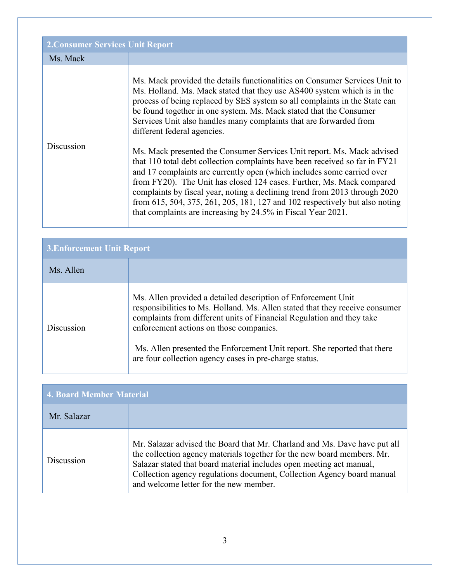| <b>2. Consumer Services Unit Report</b> |                                                                                                                                                                                                                                                                                                                                                                                                                                                                                                                                                                                                                                                                                                                                                                                                                                                                                                                                                         |
|-----------------------------------------|---------------------------------------------------------------------------------------------------------------------------------------------------------------------------------------------------------------------------------------------------------------------------------------------------------------------------------------------------------------------------------------------------------------------------------------------------------------------------------------------------------------------------------------------------------------------------------------------------------------------------------------------------------------------------------------------------------------------------------------------------------------------------------------------------------------------------------------------------------------------------------------------------------------------------------------------------------|
| Ms. Mack                                |                                                                                                                                                                                                                                                                                                                                                                                                                                                                                                                                                                                                                                                                                                                                                                                                                                                                                                                                                         |
| Discussion                              | Ms. Mack provided the details functionalities on Consumer Services Unit to<br>Ms. Holland. Ms. Mack stated that they use AS400 system which is in the<br>process of being replaced by SES system so all complaints in the State can<br>be found together in one system. Ms. Mack stated that the Consumer<br>Services Unit also handles many complaints that are forwarded from<br>different federal agencies.<br>Ms. Mack presented the Consumer Services Unit report. Ms. Mack advised<br>that 110 total debt collection complaints have been received so far in FY21<br>and 17 complaints are currently open (which includes some carried over<br>from FY20). The Unit has closed 124 cases. Further, Ms. Mack compared<br>complaints by fiscal year, noting a declining trend from 2013 through 2020<br>from 615, 504, 375, 261, 205, 181, 127 and 102 respectively but also noting<br>that complaints are increasing by 24.5% in Fiscal Year 2021. |

| <b>3. Enforcement Unit Report</b> |                                                                                                                                                                                                                                                                                                                                                                                                         |  |
|-----------------------------------|---------------------------------------------------------------------------------------------------------------------------------------------------------------------------------------------------------------------------------------------------------------------------------------------------------------------------------------------------------------------------------------------------------|--|
| Ms. Allen                         |                                                                                                                                                                                                                                                                                                                                                                                                         |  |
| Discussion                        | Ms. Allen provided a detailed description of Enforcement Unit<br>responsibilities to Ms. Holland. Ms. Allen stated that they receive consumer<br>complaints from different units of Financial Regulation and they take<br>enforcement actions on those companies.<br>Ms. Allen presented the Enforcement Unit report. She reported that there<br>are four collection agency cases in pre-charge status. |  |

| <b>4. Board Member Material</b> |                                                                                                                                                                                                                                                                                                                                                  |
|---------------------------------|--------------------------------------------------------------------------------------------------------------------------------------------------------------------------------------------------------------------------------------------------------------------------------------------------------------------------------------------------|
| Mr. Salazar                     |                                                                                                                                                                                                                                                                                                                                                  |
| Discussion                      | Mr. Salazar advised the Board that Mr. Charland and Ms. Dave have put all<br>the collection agency materials together for the new board members. Mr.<br>Salazar stated that board material includes open meeting act manual,<br>Collection agency regulations document, Collection Agency board manual<br>and welcome letter for the new member. |